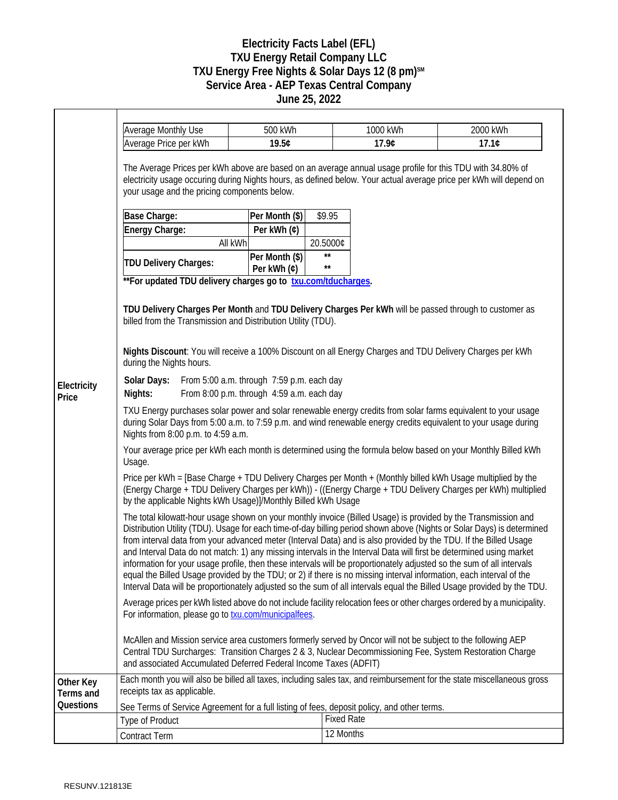## **Electricity Facts Label (EFL) TXU Energy Retail Company LLC TXU Energy Free Nights & Solar Days 12 (8 pm)SM Service Area - AEP Texas Central Company June 25, 2022**

|                                     | <b>Average Monthly Use</b>                                                                                                                                                                                                                                                                                                                                                                                                                                                                                                                                                                                                                                                                                                                                                                                                                                                                                                                                                                                                                                                                                                                                                                                                                                                                                                                                                                                                                                                                                                                | 500 kWh                       |                       | 1000 kWh       | 2000 kWh |  |
|-------------------------------------|-------------------------------------------------------------------------------------------------------------------------------------------------------------------------------------------------------------------------------------------------------------------------------------------------------------------------------------------------------------------------------------------------------------------------------------------------------------------------------------------------------------------------------------------------------------------------------------------------------------------------------------------------------------------------------------------------------------------------------------------------------------------------------------------------------------------------------------------------------------------------------------------------------------------------------------------------------------------------------------------------------------------------------------------------------------------------------------------------------------------------------------------------------------------------------------------------------------------------------------------------------------------------------------------------------------------------------------------------------------------------------------------------------------------------------------------------------------------------------------------------------------------------------------------|-------------------------------|-----------------------|----------------|----------|--|
|                                     | Average Price per kWh                                                                                                                                                                                                                                                                                                                                                                                                                                                                                                                                                                                                                                                                                                                                                                                                                                                                                                                                                                                                                                                                                                                                                                                                                                                                                                                                                                                                                                                                                                                     | 19.5¢                         |                       | 17.9¢<br>17.1C |          |  |
|                                     | The Average Prices per kWh above are based on an average annual usage profile for this TDU with 34.80% of<br>electricity usage occuring during Nights hours, as defined below. Your actual average price per kWh will depend on<br>your usage and the pricing components below.                                                                                                                                                                                                                                                                                                                                                                                                                                                                                                                                                                                                                                                                                                                                                                                                                                                                                                                                                                                                                                                                                                                                                                                                                                                           |                               |                       |                |          |  |
|                                     | Base Charge:                                                                                                                                                                                                                                                                                                                                                                                                                                                                                                                                                                                                                                                                                                                                                                                                                                                                                                                                                                                                                                                                                                                                                                                                                                                                                                                                                                                                                                                                                                                              | Per Month (\$)                | \$9.95                |                |          |  |
|                                     | Energy Charge:                                                                                                                                                                                                                                                                                                                                                                                                                                                                                                                                                                                                                                                                                                                                                                                                                                                                                                                                                                                                                                                                                                                                                                                                                                                                                                                                                                                                                                                                                                                            | Per kWh (¢)                   |                       |                |          |  |
|                                     |                                                                                                                                                                                                                                                                                                                                                                                                                                                                                                                                                                                                                                                                                                                                                                                                                                                                                                                                                                                                                                                                                                                                                                                                                                                                                                                                                                                                                                                                                                                                           | All kWh                       | 20.5000¢              |                |          |  |
| Electricity<br>Price                | TDU Delivery Charges:<br>** For updated TDU delivery charges go to txu.com/tducharges.                                                                                                                                                                                                                                                                                                                                                                                                                                                                                                                                                                                                                                                                                                                                                                                                                                                                                                                                                                                                                                                                                                                                                                                                                                                                                                                                                                                                                                                    | Per Month (\$)<br>Per kWh (¢) | $\star\star$<br>$***$ |                |          |  |
|                                     | TDU Delivery Charges Per Month and TDU Delivery Charges Per kWh will be passed through to customer as<br>billed from the Transmission and Distribution Utility (TDU).<br>Nights Discount: You will receive a 100% Discount on all Energy Charges and TDU Delivery Charges per kWh<br>during the Nights hours.<br>From 5:00 a.m. through 7:59 p.m. each day<br>Solar Days:<br>From 8:00 p.m. through 4:59 a.m. each day<br>Nights:                                                                                                                                                                                                                                                                                                                                                                                                                                                                                                                                                                                                                                                                                                                                                                                                                                                                                                                                                                                                                                                                                                         |                               |                       |                |          |  |
|                                     | TXU Energy purchases solar power and solar renewable energy credits from solar farms equivalent to your usage<br>during Solar Days from 5:00 a.m. to 7:59 p.m. and wind renewable energy credits equivalent to your usage during<br>Nights from 8:00 p.m. to 4:59 a.m.<br>Your average price per kWh each month is determined using the formula below based on your Monthly Billed kWh<br>Usage.<br>Price per kWh = [Base Charge + TDU Delivery Charges per Month + (Monthly billed kWh Usage multiplied by the                                                                                                                                                                                                                                                                                                                                                                                                                                                                                                                                                                                                                                                                                                                                                                                                                                                                                                                                                                                                                           |                               |                       |                |          |  |
|                                     | (Energy Charge + TDU Delivery Charges per kWh)) - ((Energy Charge + TDU Delivery Charges per kWh) multiplied<br>by the applicable Nights kWh Usage)]/Monthly Billed kWh Usage<br>The total kilowatt-hour usage shown on your monthly invoice (Billed Usage) is provided by the Transmission and<br>Distribution Utility (TDU). Usage for each time-of-day billing period shown above (Nights or Solar Days) is determined<br>from interval data from your advanced meter (Interval Data) and is also provided by the TDU. If the Billed Usage<br>and Interval Data do not match: 1) any missing intervals in the Interval Data will first be determined using market<br>information for your usage profile, then these intervals will be proportionately adjusted so the sum of all intervals<br>equal the Billed Usage provided by the TDU; or 2) if there is no missing interval information, each interval of the<br>Interval Data will be proportionately adjusted so the sum of all intervals equal the Billed Usage provided by the TDU.<br>Average prices per kWh listed above do not include facility relocation fees or other charges ordered by a municipality.<br>For information, please go to <b>txu.com/municipalfees</b> .<br>McAllen and Mission service area customers formerly served by Oncor will not be subject to the following AEP<br>Central TDU Surcharges: Transition Charges 2 & 3, Nuclear Decommissioning Fee, System Restoration Charge<br>and associated Accumulated Deferred Federal Income Taxes (ADFIT) |                               |                       |                |          |  |
| Other Key<br>Terms and<br>Questions | Each month you will also be billed all taxes, including sales tax, and reimbursement for the state miscellaneous gross<br>receipts tax as applicable.<br>See Terms of Service Agreement for a full listing of fees, deposit policy, and other terms.                                                                                                                                                                                                                                                                                                                                                                                                                                                                                                                                                                                                                                                                                                                                                                                                                                                                                                                                                                                                                                                                                                                                                                                                                                                                                      |                               |                       |                |          |  |
|                                     | <b>Fixed Rate</b><br><b>Type of Product</b>                                                                                                                                                                                                                                                                                                                                                                                                                                                                                                                                                                                                                                                                                                                                                                                                                                                                                                                                                                                                                                                                                                                                                                                                                                                                                                                                                                                                                                                                                               |                               |                       |                |          |  |
|                                     |                                                                                                                                                                                                                                                                                                                                                                                                                                                                                                                                                                                                                                                                                                                                                                                                                                                                                                                                                                                                                                                                                                                                                                                                                                                                                                                                                                                                                                                                                                                                           |                               |                       | 12 Months      |          |  |